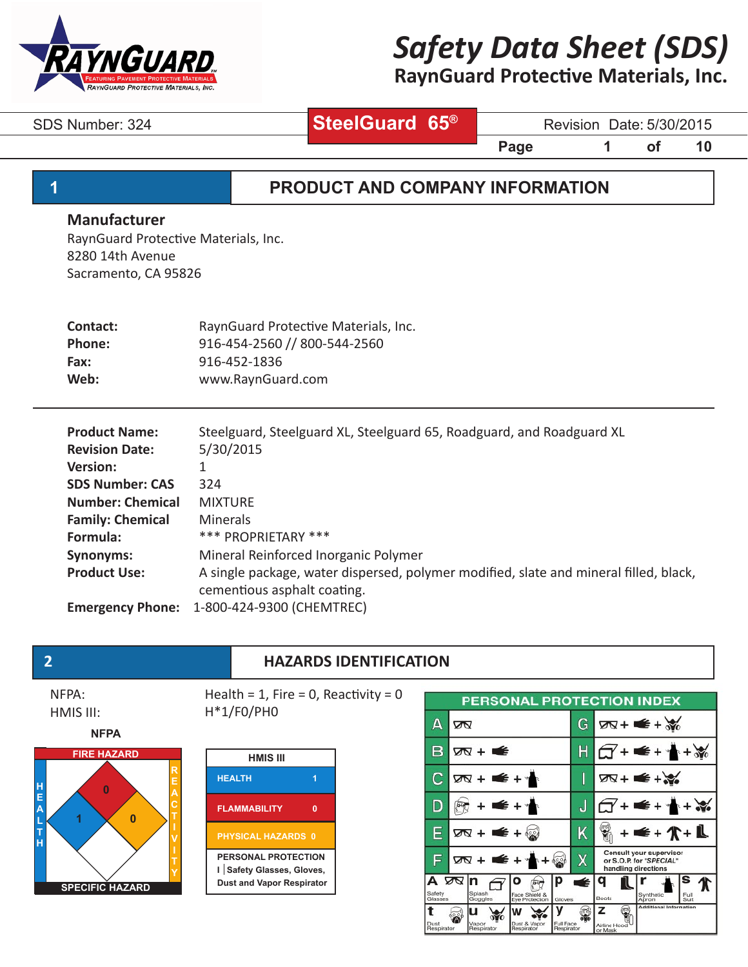

# **RaynGuard Protective Materials, Inc.**

**SteelGuard 65®**

SDS Number: 324 **SteelGuard 65<sup>th</sup> Revision Date: 5/30/2015** 

**Page 1 of 10** 

## **1 PRODUCT AND COMPANY INFORMATION**

#### **Manufacturer**

RaynGuard Protective Materials, Inc. 8280 14th Avenue Sacramento, CA 95826

| Contact:      | RaynGuard Protective Materials, Inc. |
|---------------|--------------------------------------|
| <b>Phone:</b> | 916-454-2560 // 800-544-2560         |
| Fax:          | 916-452-1836                         |
| Web:          | www.RaynGuard.com                    |
|               |                                      |

| <b>Product Name:</b>    | Steelguard, Steelguard XL, Steelguard 65, Roadguard, and Roadguard XL                 |
|-------------------------|---------------------------------------------------------------------------------------|
| <b>Revision Date:</b>   | 5/30/2015                                                                             |
| <b>Version:</b>         | 1                                                                                     |
| <b>SDS Number: CAS</b>  | 324                                                                                   |
| <b>Number: Chemical</b> | <b>MIXTURE</b>                                                                        |
| <b>Family: Chemical</b> | <b>Minerals</b>                                                                       |
| Formula:                | *** PROPRIETARY ***                                                                   |
| Synonyms:               | Mineral Reinforced Inorganic Polymer                                                  |
| <b>Product Use:</b>     | A single package, water dispersed, polymer modified, slate and mineral filled, black, |
|                         | cementious asphalt coating.                                                           |
| <b>Emergency Phone:</b> | 1-800-424-9300 (CHEMTREC)                                                             |

### **2 HAZARDS IDENTIFICATION**

NFPA: HMIS III:









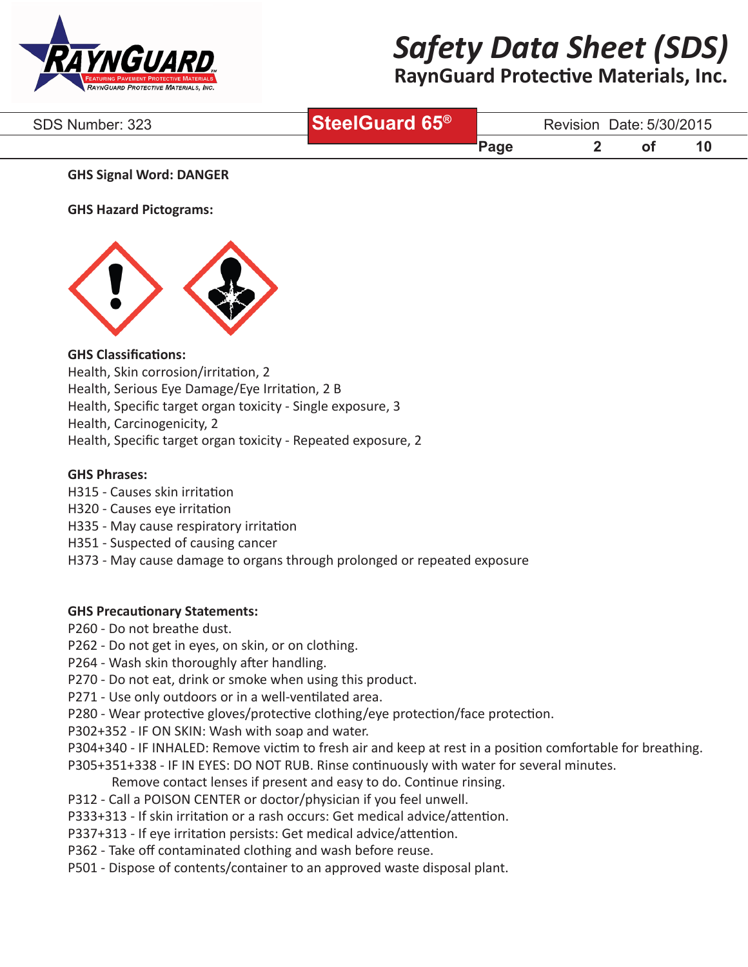

# **RaynGuard Protective Materials, Inc.**

| SDS Number: 323 | SteelGuard 65 <sup>®</sup> |      | Revision Date: 5/30/2015 |  |  |
|-----------------|----------------------------|------|--------------------------|--|--|
|                 |                            | Page |                          |  |  |

#### **GHS Signal Word: DANGER**

**GHS Hazard Pictograms:**



### **GHS Classifications:**

Health, Skin corrosion/irritation, 2

Health, Serious Eye Damage/Eye Irritation, 2 B

Health, Specific target organ toxicity - Single exposure, 3

Health, Carcinogenicity, 2

Health, Specific target organ toxicity - Repeated exposure, 2

#### **GHS Phrases:**

- H315 Causes skin irritation
- H320 Causes eye irritation
- H335 May cause respiratory irritation
- H351 Suspected of causing cancer
- H373 May cause damage to organs through prolonged or repeated exposure

#### **GHS Precautionary Statements:**

- P260 Do not breathe dust.
- P262 Do not get in eyes, on skin, or on clothing.
- P264 Wash skin thoroughly after handling.
- P270 Do not eat, drink or smoke when using this product.
- P271 Use only outdoors or in a well-ventilated area.
- P280 Wear protective gloves/protective clothing/eye protection/face protection.
- P302+352 IF ON SKIN: Wash with soap and water.
- P304+340 IF INHALED: Remove victim to fresh air and keep at rest in a position comfortable for breathing.
- P305+351+338 IF IN EYES: DO NOT RUB. Rinse continuously with water for several minutes.
	- Remove contact lenses if present and easy to do. Continue rinsing.
- P312 Call a POISON CENTER or doctor/physician if you feel unwell.
- P333+313 If skin irritation or a rash occurs: Get medical advice/attention.
- P337+313 If eye irritation persists: Get medical advice/attention.
- P362 Take off contaminated clothing and wash before reuse.
- P501 Dispose of contents/container to an approved waste disposal plant.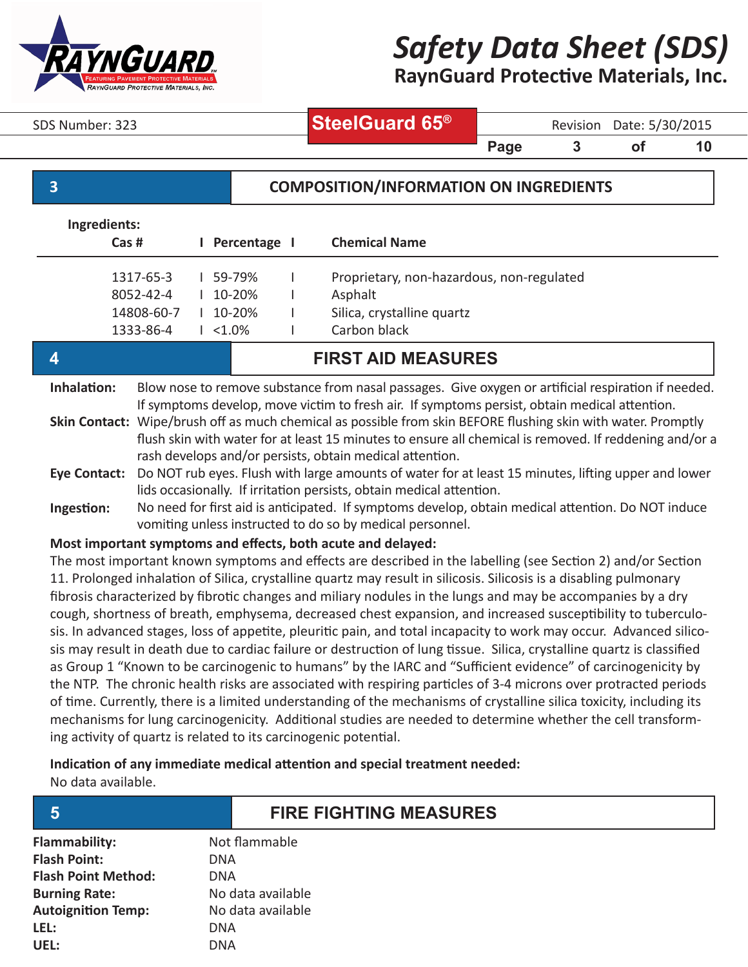

**RaynGuard Protective Materials, Inc.**

SDS Number: 323 **SteelGuard 65<sup>®</sup>** Revision Date: 5/30/2015

**Page 3 of 10** 

### **3 COMPOSITION/INFORMATION ON INGREDIENTS**

| Ingredients:                                                                                                                                                                                                                                                                                                                                                                                                                                   |                                                   |  |                                                     |  |                                                                                                    |
|------------------------------------------------------------------------------------------------------------------------------------------------------------------------------------------------------------------------------------------------------------------------------------------------------------------------------------------------------------------------------------------------------------------------------------------------|---------------------------------------------------|--|-----------------------------------------------------|--|----------------------------------------------------------------------------------------------------|
|                                                                                                                                                                                                                                                                                                                                                                                                                                                | Cas#                                              |  | Percentage I                                        |  | <b>Chemical Name</b>                                                                               |
|                                                                                                                                                                                                                                                                                                                                                                                                                                                | 1317-65-3<br>8052-42-4<br>14808-60-7<br>1333-86-4 |  | 59-79%<br>$10 - 20%$<br>$10 - 20%$<br>$1 \le 1.0\%$ |  | Proprietary, non-hazardous, non-regulated<br>Asphalt<br>Silica, crystalline quartz<br>Carbon black |
| <b>FIRST AID MEASURES</b>                                                                                                                                                                                                                                                                                                                                                                                                                      |                                                   |  |                                                     |  |                                                                                                    |
| Inhalation:<br>Blow nose to remove substance from nasal passages. Give oxygen or artificial respiration if needed.<br>If symptoms develop, move victim to fresh air. If symptoms persist, obtain medical attention.<br>Skin Contact: Wipe/brush off as much chemical as possible from skin BEFORE flushing skin with water. Promptly<br>flush skin with water for at least 15 minutes to ensure all chemical is removed. If reddening and/or a |                                                   |  |                                                     |  |                                                                                                    |

rash develops and/or persists, obtain medical attention.

**Eye Contact:**  Do NOT rub eyes. Flush with large amounts of water for at least 15 minutes, lifting upper and lower lids occasionally. If irritation persists, obtain medical attention.

#### **Most important symptoms and effects, both acute and delayed:**

The most important known symptoms and effects are described in the labelling (see Section 2) and/or Section 11. Prolonged inhalation of Silica, crystalline quartz may result in silicosis. Silicosis is a disabling pulmonary fibrosis characterized by fibrotic changes and miliary nodules in the lungs and may be accompanies by a dry cough, shortness of breath, emphysema, decreased chest expansion, and increased susceptibility to tuberculosis. In advanced stages, loss of appetite, pleuritic pain, and total incapacity to work may occur. Advanced silicosis may result in death due to cardiac failure or destruction of lung tissue. Silica, crystalline quartz is classified as Group 1 "Known to be carcinogenic to humans" by the IARC and "Sufficient evidence" of carcinogenicity by the NTP. The chronic health risks are associated with respiring particles of 3-4 microns over protracted periods of time. Currently, there is a limited understanding of the mechanisms of crystalline silica toxicity, including its mechanisms for lung carcinogenicity. Additional studies are needed to determine whether the cell transforming activity of quartz is related to its carcinogenic potential.

### **Indication of any immediate medical attention and special treatment needed:**

No data available.

| Flammability:              | Not flammable     |
|----------------------------|-------------------|
| <b>Flash Point:</b>        | DNA               |
| <b>Flash Point Method:</b> | DNA               |
| <b>Burning Rate:</b>       | No data available |
| <b>Autoignition Temp:</b>  | No data available |
| LEL:                       | DNA               |
| UEL:                       | DNA               |

## **5 FIRE FIGHTING MEASURES**

**Ingestion:** No need for first aid is anticipated. If symptoms develop, obtain medical attention. Do NOT induce vomiting unless instructed to do so by medical personnel.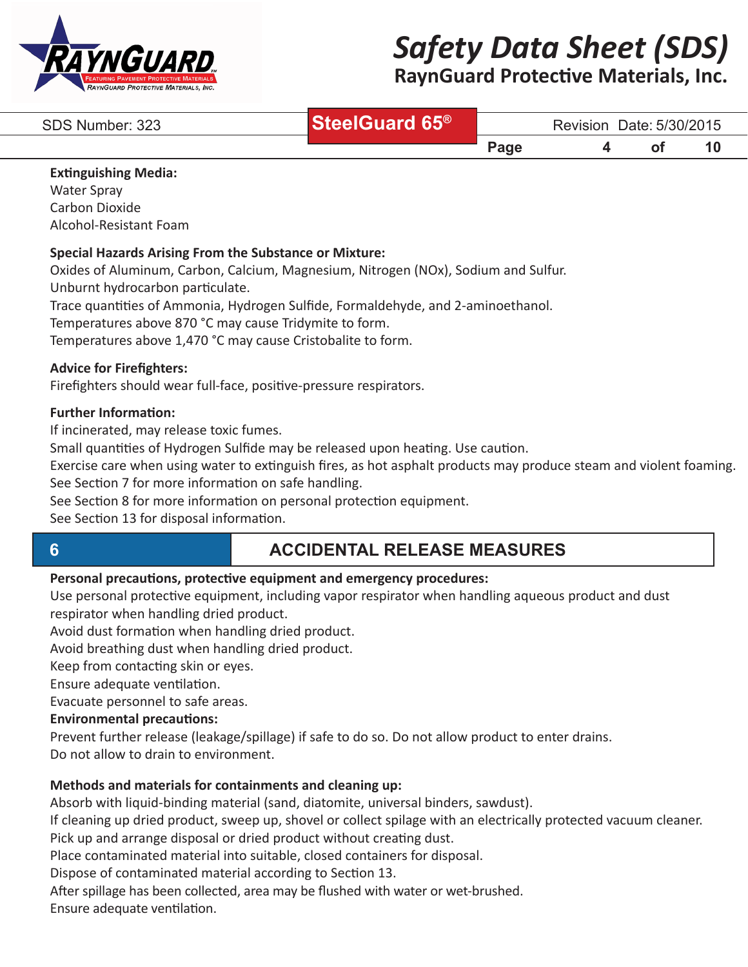

# **RaynGuard Protective Materials, Inc.**

| SDS Number: 323 | SteelGuard 65 <sup>®</sup> |                  | <b>Revision</b> | Date: 5/30/2015        |    |  |
|-----------------|----------------------------|------------------|-----------------|------------------------|----|--|
|                 |                            | $\mathbf{p}$ age |                 | $\mathbf{O}^{\dagger}$ | 10 |  |

#### **Extinguishing Media:**

Water Spray Carbon Dioxide Alcohol-Resistant Foam

#### **Special Hazards Arising From the Substance or Mixture:**

Oxides of Aluminum, Carbon, Calcium, Magnesium, Nitrogen (NOx), Sodium and Sulfur. Unburnt hydrocarbon particulate.

Trace quantities of Ammonia, Hydrogen Sulfide, Formaldehyde, and 2-aminoethanol.

Temperatures above 870 °C may cause Tridymite to form.

Temperatures above 1,470 °C may cause Cristobalite to form.

#### **Advice for Firefighters:**

Firefighters should wear full-face, positive-pressure respirators.

#### **Further Information:**

If incinerated, may release toxic fumes.

Small quantities of Hydrogen Sulfide may be released upon heating. Use caution.

Exercise care when using water to extinguish fires, as hot asphalt products may produce steam and violent foaming. See Section 7 for more information on safe handling.

See Section 8 for more information on personal protection equipment.

See Section 13 for disposal information.

# **6 ACCIDENTAL RELEASE MEASURES**

### **Personal precautions, protective equipment and emergency procedures:**

Use personal protective equipment, including vapor respirator when handling aqueous product and dust respirator when handling dried product.

Avoid dust formation when handling dried product.

Avoid breathing dust when handling dried product.

Keep from contacting skin or eyes.

Ensure adequate ventilation.

Evacuate personnel to safe areas.

### **Environmental precautions:**

Prevent further release (leakage/spillage) if safe to do so. Do not allow product to enter drains. Do not allow to drain to environment.

### **Methods and materials for containments and cleaning up:**

Absorb with liquid-binding material (sand, diatomite, universal binders, sawdust).

If cleaning up dried product, sweep up, shovel or collect spilage with an electrically protected vacuum cleaner. Pick up and arrange disposal or dried product without creating dust.

Place contaminated material into suitable, closed containers for disposal.

Dispose of contaminated material according to Section 13.

After spillage has been collected, area may be flushed with water or wet-brushed.

Ensure adequate ventilation.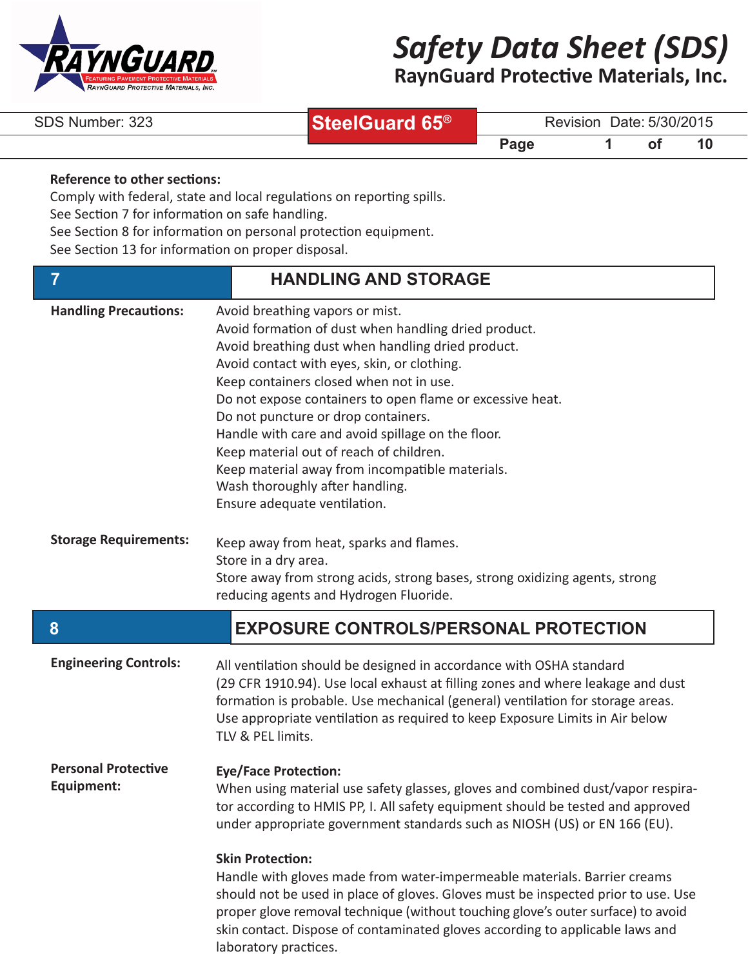

**RaynGuard Protective Materials, Inc.**

| SDS Number: 323 |  |
|-----------------|--|
|-----------------|--|

**SteelGuard 65®**

Revision Date: 5/30/2015

**Page 1** of 10

### **Reference to other sections:**

Comply with federal, state and local regulations on reporting spills.

See Section 7 for information on safe handling.

See Section 8 for information on personal protection equipment.

See Section 13 for information on proper disposal.

| 7                                        | <b>HANDLING AND STORAGE</b>                                                                                                                                                                                                                                                                                                                                                                                                                                                                                                                                      |
|------------------------------------------|------------------------------------------------------------------------------------------------------------------------------------------------------------------------------------------------------------------------------------------------------------------------------------------------------------------------------------------------------------------------------------------------------------------------------------------------------------------------------------------------------------------------------------------------------------------|
| <b>Handling Precautions:</b>             | Avoid breathing vapors or mist.<br>Avoid formation of dust when handling dried product.<br>Avoid breathing dust when handling dried product.<br>Avoid contact with eyes, skin, or clothing.<br>Keep containers closed when not in use.<br>Do not expose containers to open flame or excessive heat.<br>Do not puncture or drop containers.<br>Handle with care and avoid spillage on the floor.<br>Keep material out of reach of children.<br>Keep material away from incompatible materials.<br>Wash thoroughly after handling.<br>Ensure adequate ventilation. |
| <b>Storage Requirements:</b>             | Keep away from heat, sparks and flames.<br>Store in a dry area.<br>Store away from strong acids, strong bases, strong oxidizing agents, strong<br>reducing agents and Hydrogen Fluoride.                                                                                                                                                                                                                                                                                                                                                                         |
|                                          |                                                                                                                                                                                                                                                                                                                                                                                                                                                                                                                                                                  |
| 8                                        | <b>EXPOSURE CONTROLS/PERSONAL PROTECTION</b>                                                                                                                                                                                                                                                                                                                                                                                                                                                                                                                     |
| <b>Engineering Controls:</b>             | All ventilation should be designed in accordance with OSHA standard<br>(29 CFR 1910.94). Use local exhaust at filling zones and where leakage and dust<br>formation is probable. Use mechanical (general) ventilation for storage areas.<br>Use appropriate ventilation as required to keep Exposure Limits in Air below<br>TLV & PEL limits.                                                                                                                                                                                                                    |
| <b>Personal Protective</b><br>Equipment: | <b>Eye/Face Protection:</b><br>When using material use safety glasses, gloves and combined dust/vapor respira-<br>tor according to HMIS PP, I. All safety equipment should be tested and approved<br>under appropriate government standards such as NIOSH (US) or EN 166 (EU).                                                                                                                                                                                                                                                                                   |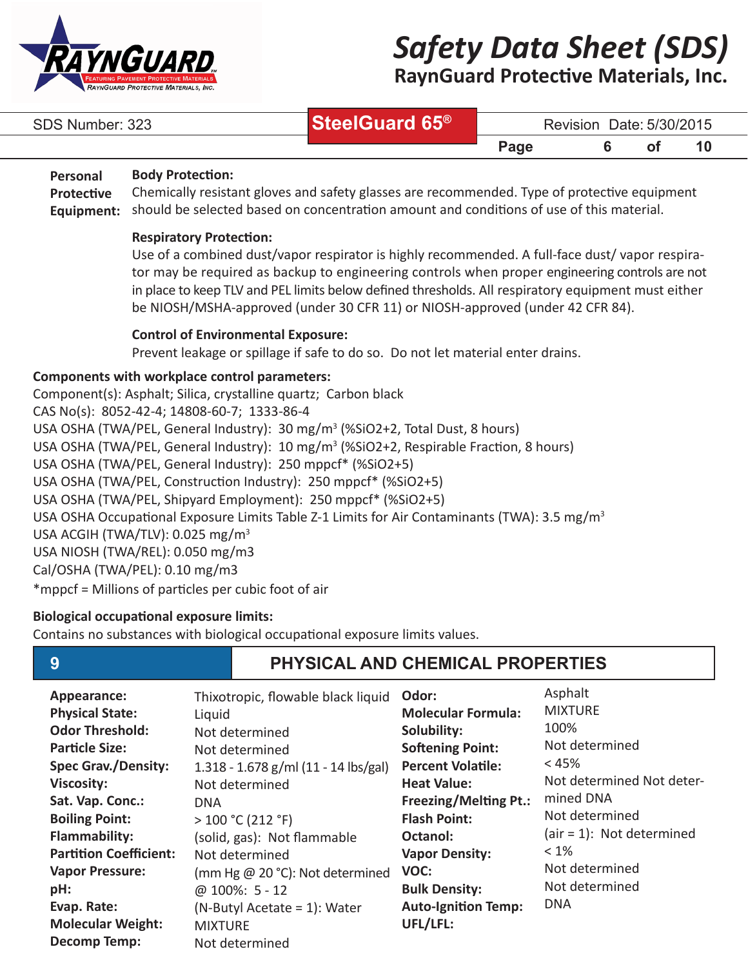

**RaynGuard Protective Materials, Inc.**

| SDS Number: 323 | SteelGuard 65 <sup>®</sup> | Revision Date: 5/30/2015 |
|-----------------|----------------------------|--------------------------|
|                 |                            |                          |

**Page 6 of 10** 

#### **Body Protection: Personal**

Chemically resistant gloves and safety glasses are recommended. Type of protective equipment should be selected based on concentration amount and conditions of use of this material. **Protective Equipment:**

### **Respiratory Protection:**

Use of a combined dust/vapor respirator is highly recommended. A full-face dust/ vapor respirator may be required as backup to engineering controls when proper engineering controls are not in place to keep TLV and PEL limits below defined thresholds. All respiratory equipment must either be NIOSH/MSHA-approved (under 30 CFR 11) or NIOSH-approved (under 42 CFR 84).

### **Control of Environmental Exposure:**

Prevent leakage or spillage if safe to do so. Do not let material enter drains.

### **Components with workplace control parameters:**

Component(s): Asphalt; Silica, crystalline quartz; Carbon black CAS No(s): 8052-42-4; 14808-60-7; 1333-86-4 USA OSHA (TWA/PEL, General Industry): 30 mg/m<sup>3</sup> (%SiO2+2, Total Dust, 8 hours) USA OSHA (TWA/PEL, General Industry): 10 mg/m<sup>3</sup> (%SiO2+2, Respirable Fraction, 8 hours) USA OSHA (TWA/PEL, General Industry): 250 mppcf\* (%SiO2+5) USA OSHA (TWA/PEL, Construction Industry): 250 mppcf\* (%SiO2+5) USA OSHA (TWA/PEL, Shipyard Employment): 250 mppcf\* (%SiO2+5) USA OSHA Occupational Exposure Limits Table Z-1 Limits for Air Contaminants (TWA): 3.5 mg/m3 USA ACGIH (TWA/TLV): 0.025 mg/m<sup>3</sup> USA NIOSH (TWA/REL): 0.050 mg/m3 Cal/OSHA (TWA/PEL): 0.10 mg/m3 \*mppcf = Millions of particles per cubic foot of air

### **Biological occupational exposure limits:**

Contains no substances with biological occupational exposure limits values.

# **9 PHYSICAL AND CHEMICAL PROPERTIES**

| Appearance:                   | Thixotropic, flowable black liquid   | Odor:                        | Asphalt                    |
|-------------------------------|--------------------------------------|------------------------------|----------------------------|
| <b>Physical State:</b>        | Liquid                               | <b>Molecular Formula:</b>    | <b>MIXTURE</b>             |
| <b>Odor Threshold:</b>        | Not determined                       | Solubility:                  | 100%                       |
| <b>Particle Size:</b>         | Not determined                       | <b>Softening Point:</b>      | Not determined             |
| <b>Spec Grav./Density:</b>    | 1.318 - 1.678 g/ml (11 - 14 lbs/gal) | <b>Percent Volatile:</b>     | $< 45\%$                   |
| <b>Viscosity:</b>             | Not determined                       | <b>Heat Value:</b>           | Not determined Not deter-  |
| Sat. Vap. Conc.:              | <b>DNA</b>                           | <b>Freezing/Melting Pt.:</b> | mined DNA                  |
| <b>Boiling Point:</b>         | >100 °C (212 °F)                     | <b>Flash Point:</b>          | Not determined             |
| <b>Flammability:</b>          | (solid, gas): Not flammable          | Octanol:                     | $air = 1$ : Not determined |
| <b>Partition Coefficient:</b> | Not determined                       | <b>Vapor Density:</b>        | $< 1\%$                    |
| <b>Vapor Pressure:</b>        | (mm Hg @ 20 °C): Not determined      | VOC:                         | Not determined             |
| pH:                           | @ 100%: 5 - 12                       | <b>Bulk Density:</b>         | Not determined             |
| Evap. Rate:                   | $(N-Buty)$ Acetate = 1): Water       | <b>Auto-Ignition Temp:</b>   | <b>DNA</b>                 |
| <b>Molecular Weight:</b>      | <b>MIXTURE</b>                       | UFL/LFL:                     |                            |
| <b>Decomp Temp:</b>           | Not determined                       |                              |                            |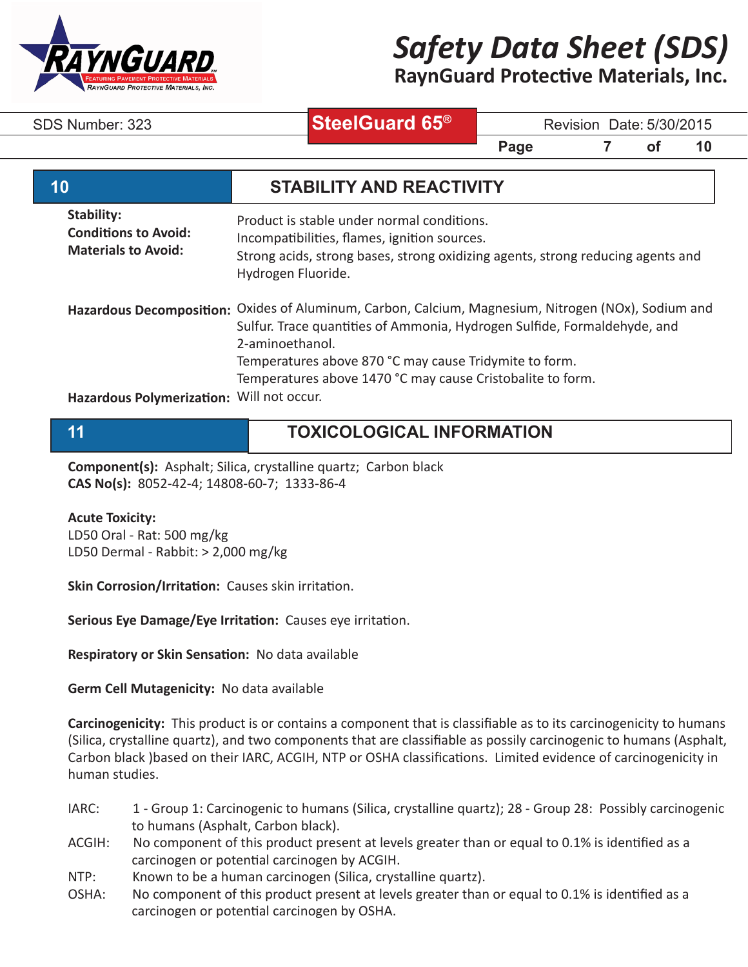

**RaynGuard Protective Materials, Inc.**

**SteelGuard 65®**

SDS Number: 323 **SteelGuard 65**<sup>w</sup> Revision Date: 5/30/2015

**Page 7 of 10** 

| 10                                                                      | <b>STABILITY AND REACTIVITY</b>                                                                                                                                                                                                                                                                                            |
|-------------------------------------------------------------------------|----------------------------------------------------------------------------------------------------------------------------------------------------------------------------------------------------------------------------------------------------------------------------------------------------------------------------|
| Stability:<br><b>Conditions to Avoid:</b><br><b>Materials to Avoid:</b> | Product is stable under normal conditions.<br>Incompatibilities, flames, ignition sources.<br>Strong acids, strong bases, strong oxidizing agents, strong reducing agents and<br>Hydrogen Fluoride.                                                                                                                        |
|                                                                         | Hazardous Decomposition: Oxides of Aluminum, Carbon, Calcium, Magnesium, Nitrogen (NOx), Sodium and<br>Sulfur. Trace quantities of Ammonia, Hydrogen Sulfide, Formaldehyde, and<br>2-aminoethanol.<br>Temperatures above 870 °C may cause Tridymite to form.<br>Temperatures above 1470 °C may cause Cristobalite to form. |
| Hazardous Polymerization: Will not occur.                               |                                                                                                                                                                                                                                                                                                                            |

# **11 TOXICOLOGICAL INFORMATION**

**Component(s):** Asphalt; Silica, crystalline quartz; Carbon black **CAS No(s):** 8052-42-4; 14808-60-7; 1333-86-4

#### **Acute Toxicity:**

LD50 Oral - Rat: 500 mg/kg LD50 Dermal - Rabbit: > 2,000 mg/kg

**Skin Corrosion/Irritation:** Causes skin irritation.

**Serious Eye Damage/Eye Irritation:** Causes eye irritation.

**Respiratory or Skin Sensation:** No data available

**Germ Cell Mutagenicity:** No data available

**Carcinogenicity:** This product is or contains a component that is classifiable as to its carcinogenicity to humans (Silica, crystalline quartz), and two components that are classifiable as possily carcinogenic to humans (Asphalt, Carbon black )based on their IARC, ACGIH, NTP or OSHA classifications. Limited evidence of carcinogenicity in human studies.

- IARC: 1 Group 1: Carcinogenic to humans (Silica, crystalline quartz); 28 Group 28: Possibly carcinogenic to humans (Asphalt, Carbon black).
- ACGIH: No component of this product present at levels greater than or equal to 0.1% is identified as a carcinogen or potential carcinogen by ACGIH.
- NTP: Known to be a human carcinogen (Silica, crystalline quartz).
- OSHA: No component of this product present at levels greater than or equal to 0.1% is identified as a carcinogen or potential carcinogen by OSHA.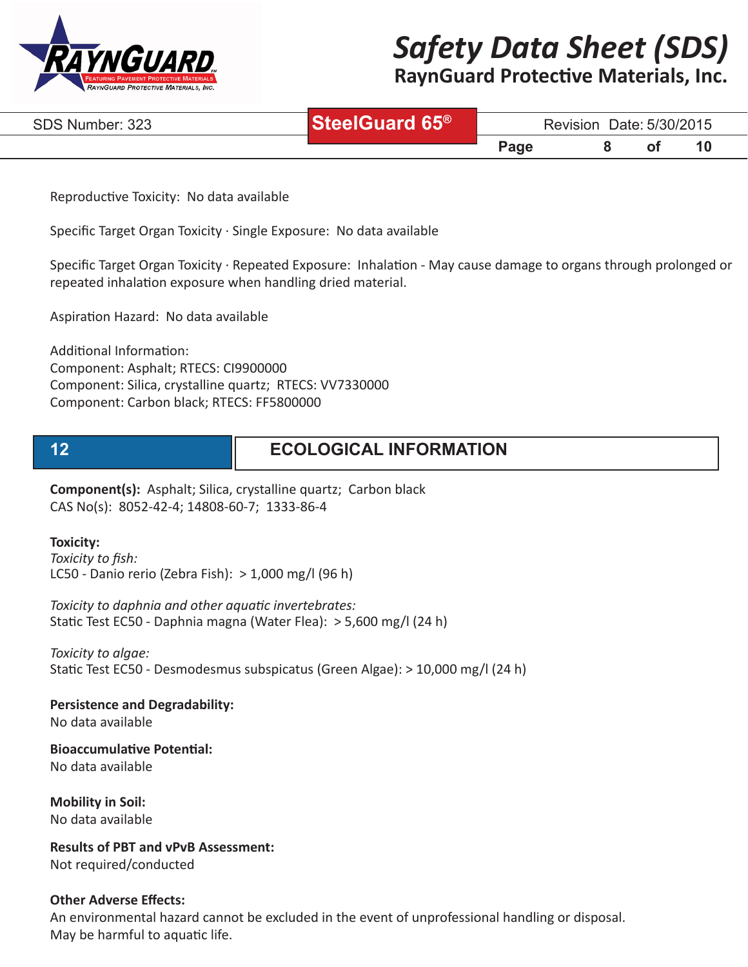

**RaynGuard Protective Materials, Inc.**

| SDS Number: 323 | <b>Guard 65<sup>®</sup></b> | Date: 5/30/2015<br>Revision |  |  |  |  |
|-----------------|-----------------------------|-----------------------------|--|--|--|--|
|                 |                             | <b>Page</b>                 |  |  |  |  |

Reproductive Toxicity: No data available

Specific Target Organ Toxicity · Single Exposure: No data available

Specific Target Organ Toxicity · Repeated Exposure: Inhalation - May cause damage to organs through prolonged or repeated inhalation exposure when handling dried material.

Aspiration Hazard: No data available

Additional Information: Component: Asphalt; RTECS: CI9900000 Component: Silica, crystalline quartz; RTECS: VV7330000 Component: Carbon black; RTECS: FF5800000

# **12 ECOLOGICAL INFORMATION**

**Component(s):** Asphalt; Silica, crystalline quartz; Carbon black CAS No(s): 8052-42-4; 14808-60-7; 1333-86-4

#### **Toxicity:**

*Toxicity to fish:* LC50 - Danio rerio (Zebra Fish): > 1,000 mg/l (96 h)

*Toxicity to daphnia and other aquatic invertebrates:* Static Test EC50 - Daphnia magna (Water Flea): > 5,600 mg/l (24 h)

*Toxicity to algae:* Static Test EC50 - Desmodesmus subspicatus (Green Algae): > 10,000 mg/l (24 h)

**Persistence and Degradability:**

No data available

**Bioaccumulative Potential:** No data available

**Mobility in Soil:** No data available

**Results of PBT and vPvB Assessment:** Not required/conducted

#### **Other Adverse Effects:**

An environmental hazard cannot be excluded in the event of unprofessional handling or disposal. May be harmful to aquatic life.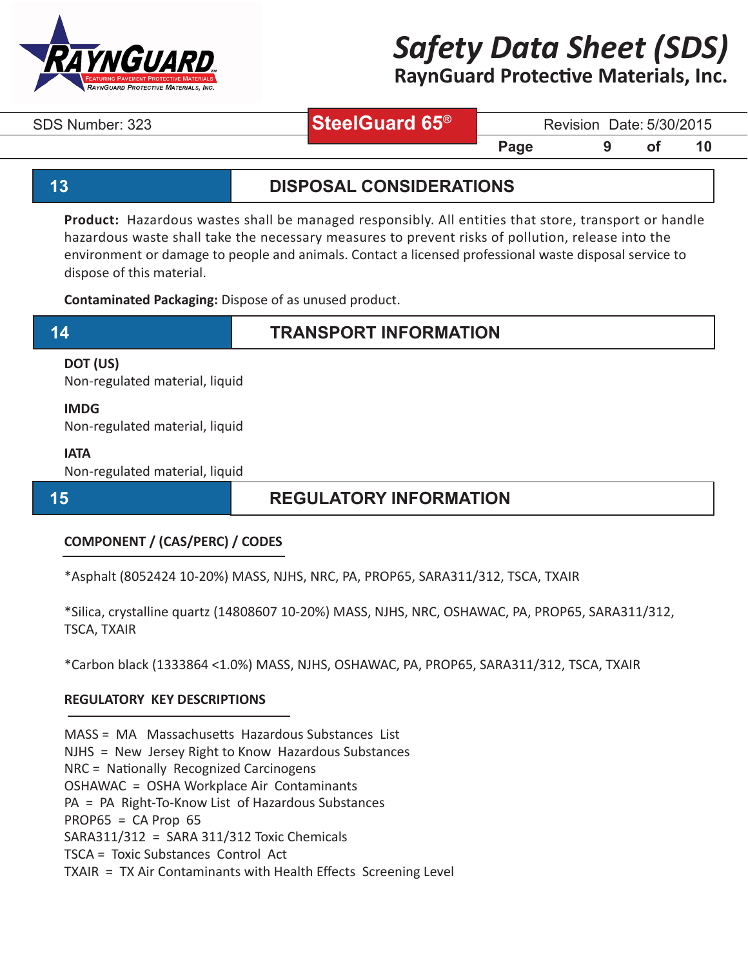

**RaynGuard Protective Materials, Inc.**

# **SteelGuard 65®**

SDS Number: 323 **SteelGuard 65**<sup>%</sup> Revision Date: 5/30/2015

## **13 DISPOSAL CONSIDERATIONS**

**Page 5 9 of 10** 

**Product:** Hazardous wastes shall be managed responsibly. All entities that store, transport or handle hazardous waste shall take the necessary measures to prevent risks of pollution, release into the environment or damage to people and animals. Contact a licensed professional waste disposal service to dispose of this material.

**Contaminated Packaging:** Dispose of as unused product.

## **14 TRANSPORT INFORMATION**

### **DOT (US)**

Non-regulated material, liquid

#### **IMDG**

Non-regulated material, liquid

#### **IATA**

Non-regulated material, liquid

## **15 REGULATORY INFORMATION**

### **COMPONENT / (CAS/PERC) / CODES**

\*Asphalt (8052424 10-20%) MASS, NJHS, NRC, PA, PROP65, SARA311/312, TSCA, TXAIR

\*Silica, crystalline quartz (14808607 10-20%) MASS, NJHS, NRC, OSHAWAC, PA, PROP65, SARA311/312, TSCA, TXAIR

\*Carbon black (1333864 <1.0%) MASS, NJHS, OSHAWAC, PA, PROP65, SARA311/312, TSCA, TXAIR

### **REGULATORY KEY DESCRIPTIONS**

MASS = MA Massachusetts Hazardous Substances List

NJHS = New Jersey Right to Know Hazardous Substances

NRC = Nationally Recognized Carcinogens

OSHAWAC = OSHA Workplace Air Contaminants

PA = PA Right-To-Know List of Hazardous Substances

 $PROP65 = CA Prop65$ 

SARA311/312 = SARA 311/312 Toxic Chemicals

TSCA = Toxic Substances Control Act

TXAIR = TX Air Contaminants with Health Effects Screening Level